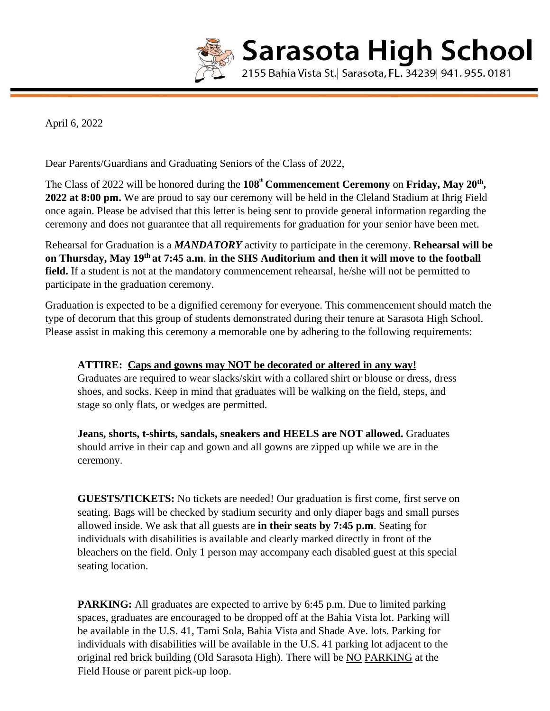

April 6, 2022

Dear Parents/Guardians and Graduating Seniors of the Class of 2022,

The Class of 2022 will be honored during the 108<sup>th</sup> Commencement Ceremony on Friday, May 20<sup>th</sup>, **2022 at 8:00 pm.** We are proud to say our ceremony will be held in the Cleland Stadium at Ihrig Field once again. Please be advised that this letter is being sent to provide general information regarding the ceremony and does not guarantee that all requirements for graduation for your senior have been met.

Rehearsal for Graduation is a *MANDATORY* activity to participate in the ceremony. **Rehearsal will be on Thursday, May 19th at 7:45 a.m**. **in the SHS Auditorium and then it will move to the football field.** If a student is not at the mandatory commencement rehearsal, he/she will not be permitted to participate in the graduation ceremony.

Graduation is expected to be a dignified ceremony for everyone. This commencement should match the type of decorum that this group of students demonstrated during their tenure at Sarasota High School. Please assist in making this ceremony a memorable one by adhering to the following requirements:

## **ATTIRE: Caps and gowns may NOT be decorated or altered in any way!**

Graduates are required to wear slacks/skirt with a collared shirt or blouse or dress, dress shoes, and socks. Keep in mind that graduates will be walking on the field, steps, and stage so only flats, or wedges are permitted.

**Jeans, shorts, t-shirts, sandals, sneakers and HEELS are NOT allowed.** Graduates should arrive in their cap and gown and all gowns are zipped up while we are in the ceremony.

**GUESTS/TICKETS:** No tickets are needed! Our graduation is first come, first serve on seating. Bags will be checked by stadium security and only diaper bags and small purses allowed inside. We ask that all guests are **in their seats by 7:45 p.m**. Seating for individuals with disabilities is available and clearly marked directly in front of the bleachers on the field. Only 1 person may accompany each disabled guest at this special seating location.

**PARKING:** All graduates are expected to arrive by 6:45 p.m. Due to limited parking spaces, graduates are encouraged to be dropped off at the Bahia Vista lot. Parking will be available in the U.S. 41, Tami Sola, Bahia Vista and Shade Ave. lots. Parking for individuals with disabilities will be available in the U.S. 41 parking lot adjacent to the original red brick building (Old Sarasota High). There will be NO PARKING at the Field House or parent pick-up loop.